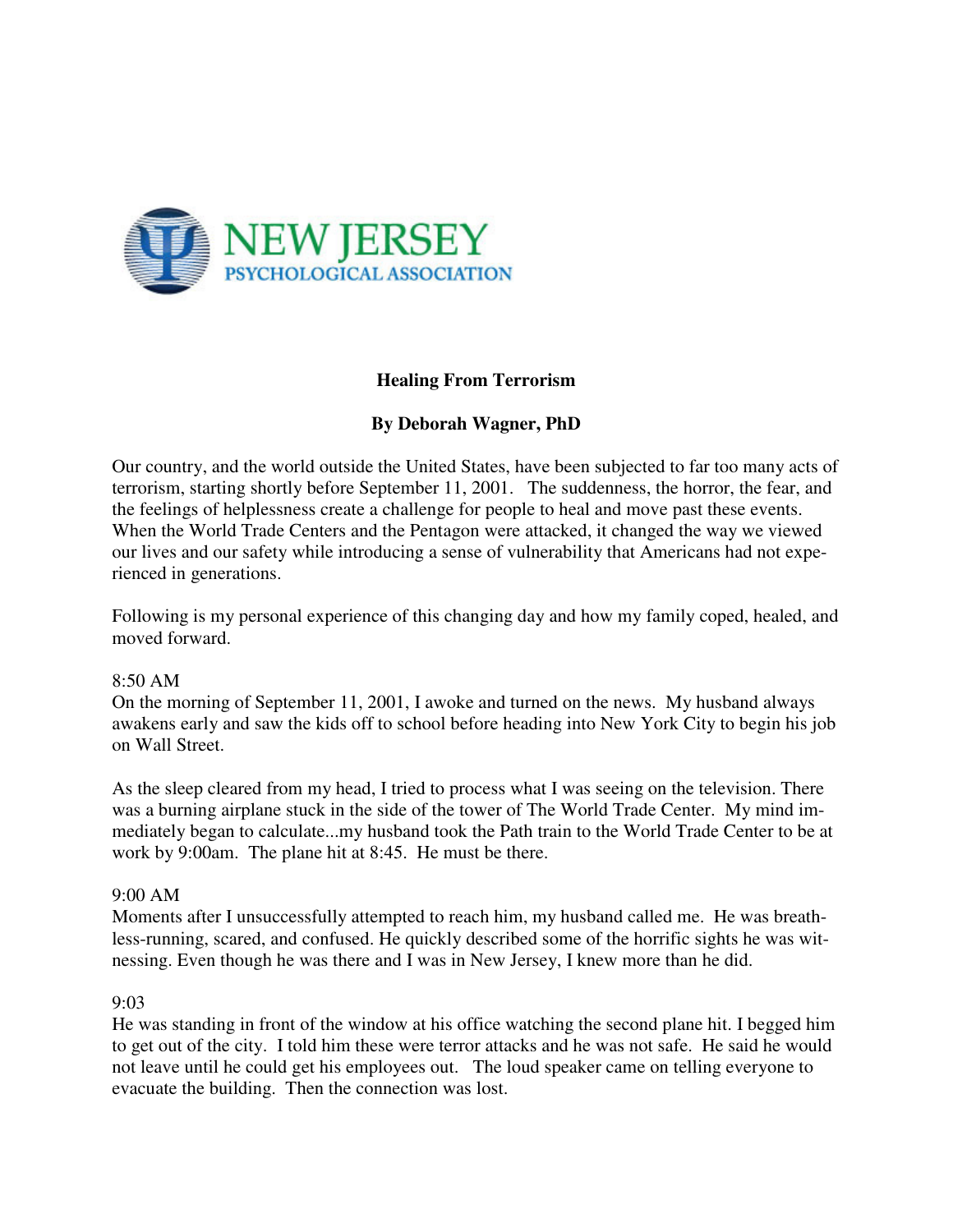

# **Healing From Terrorism**

# **By Deborah Wagner, PhD**

Our country, and the world outside the United States, have been subjected to far too many acts of terrorism, starting shortly before September 11, 2001. The suddenness, the horror, the fear, and the feelings of helplessness create a challenge for people to heal and move past these events. When the World Trade Centers and the Pentagon were attacked, it changed the way we viewed our lives and our safety while introducing a sense of vulnerability that Americans had not experienced in generations.

Following is my personal experience of this changing day and how my family coped, healed, and moved forward.

## 8:50 AM

On the morning of September 11, 2001, I awoke and turned on the news. My husband always awakens early and saw the kids off to school before heading into New York City to begin his job on Wall Street.

As the sleep cleared from my head, I tried to process what I was seeing on the television. There was a burning airplane stuck in the side of the tower of The World Trade Center. My mind immediately began to calculate...my husband took the Path train to the World Trade Center to be at work by 9:00am. The plane hit at 8:45. He must be there.

## 9:00 AM

Moments after I unsuccessfully attempted to reach him, my husband called me. He was breathless-running, scared, and confused. He quickly described some of the horrific sights he was witnessing. Even though he was there and I was in New Jersey, I knew more than he did.

## 9:03

He was standing in front of the window at his office watching the second plane hit. I begged him to get out of the city. I told him these were terror attacks and he was not safe. He said he would not leave until he could get his employees out. The loud speaker came on telling everyone to evacuate the building. Then the connection was lost.